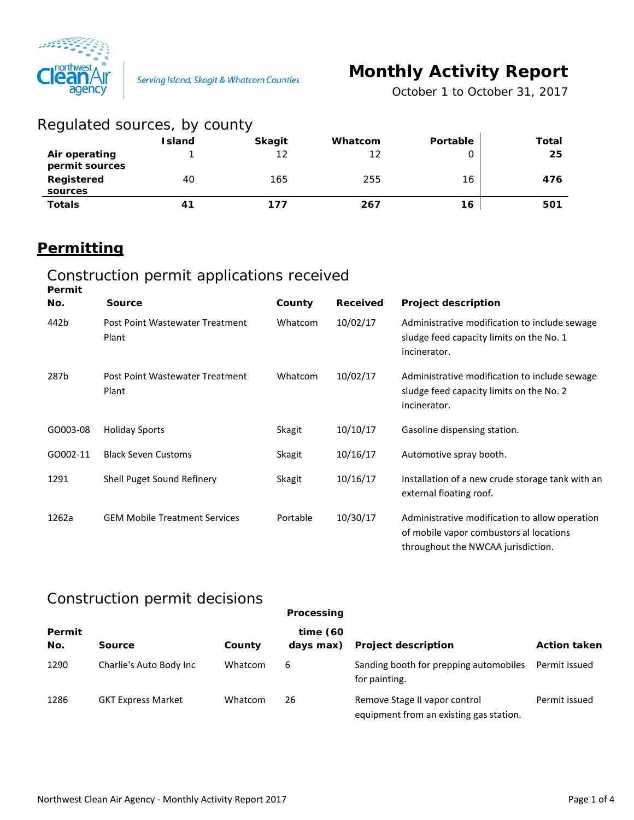

*October 1 to October 31, 2017*

| Regulated sources, by county    |               |               |         |                 |       |
|---------------------------------|---------------|---------------|---------|-----------------|-------|
|                                 | <b>Island</b> | <b>Skagit</b> | Whatcom | <b>Portable</b> | Total |
| Air operating<br>permit sources |               | 12            | 12      |                 | 25    |
| Registered<br>sources           | 40            | 165           | 255     | 16              | 476   |
| <b>Totals</b>                   | 41            | 177           | 267     | 16              | 501   |

## **Permitting**

#### Construction permit applications received **Permit**

| .        |                                          |               |                 |                                                                                                                                 |
|----------|------------------------------------------|---------------|-----------------|---------------------------------------------------------------------------------------------------------------------------------|
| No.      | <b>Source</b>                            | County        | <b>Received</b> | <b>Project description</b>                                                                                                      |
| 442b     | Post Point Wastewater Treatment<br>Plant | Whatcom       | 10/02/17        | Administrative modification to include sewage<br>sludge feed capacity limits on the No. 1<br>incinerator.                       |
| 287b     | Post Point Wastewater Treatment<br>Plant | Whatcom       | 10/02/17        | Administrative modification to include sewage<br>sludge feed capacity limits on the No. 2<br>incinerator.                       |
| GO003-08 | <b>Holiday Sports</b>                    | Skagit        | 10/10/17        | Gasoline dispensing station.                                                                                                    |
| GO002-11 | <b>Black Seven Customs</b>               | Skagit        | 10/16/17        | Automotive spray booth.                                                                                                         |
| 1291     | Shell Puget Sound Refinery               | <b>Skagit</b> | 10/16/17        | Installation of a new crude storage tank with an<br>external floating roof.                                                     |
| 1262a    | <b>GEM Mobile Treatment Services</b>     | Portable      | 10/30/17        | Administrative modification to allow operation<br>of mobile vapor combustors al locations<br>throughout the NWCAA jurisdiction. |

### Construction permit decisions

|               |                           |         | Processing            |                                                                          |                     |
|---------------|---------------------------|---------|-----------------------|--------------------------------------------------------------------------|---------------------|
| Permit<br>No. | Source                    | County  | time(60)<br>days max) | <b>Project description</b>                                               | <b>Action taken</b> |
| 1290          | Charlie's Auto Body Inc   | Whatcom | 6                     | Sanding booth for prepping automobiles<br>for painting.                  | Permit issued       |
| 1286          | <b>GKT Express Market</b> | Whatcom | 26                    | Remove Stage II vapor control<br>equipment from an existing gas station. | Permit issued       |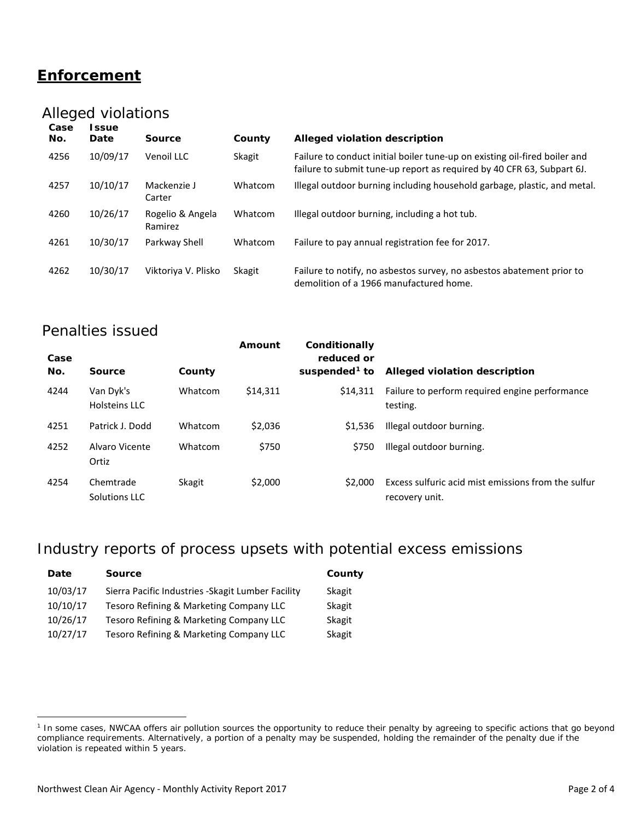## **Enforcement**

## Alleged violations

| Case<br>No. | <b>S</b> sue<br>Date | Source                      | County  | Alleged violation description                                                                                                                        |
|-------------|----------------------|-----------------------------|---------|------------------------------------------------------------------------------------------------------------------------------------------------------|
| 4256        | 10/09/17             | Venoil LLC                  | Skagit  | Failure to conduct initial boiler tune-up on existing oil-fired boiler and<br>failure to submit tune-up report as required by 40 CFR 63, Subpart 6J. |
| 4257        | 10/10/17             | Mackenzie J<br>Carter       | Whatcom | Illegal outdoor burning including household garbage, plastic, and metal.                                                                             |
| 4260        | 10/26/17             | Rogelio & Angela<br>Ramirez | Whatcom | Illegal outdoor burning, including a hot tub.                                                                                                        |
| 4261        | 10/30/17             | Parkway Shell               | Whatcom | Failure to pay annual registration fee for 2017.                                                                                                     |
| 4262        | 10/30/17             | Viktoriya V. Plisko         | Skagit  | Failure to notify, no asbestos survey, no asbestos abatement prior to<br>demolition of a 1966 manufactured home.                                     |

#### Penalties issued

| Case<br>No. | Source                     | County  | Amount   | Conditionally<br>reduced or<br>suspended $1$ to | Alleged violation description                                         |
|-------------|----------------------------|---------|----------|-------------------------------------------------|-----------------------------------------------------------------------|
| 4244        | Van Dyk's<br>Holsteins LLC | Whatcom | \$14.311 | \$14.311                                        | Failure to perform required engine performance<br>testing.            |
| 4251        | Patrick J. Dodd            | Whatcom | \$2,036  | \$1.536                                         | Illegal outdoor burning.                                              |
| 4252        | Alvaro Vicente<br>Ortiz    | Whatcom | \$750    | \$750                                           | Illegal outdoor burning.                                              |
| 4254        | Chemtrade<br>Solutions LLC | Skagit  | \$2,000  | \$2,000                                         | Excess sulfuric acid mist emissions from the sulfur<br>recovery unit. |

## Industry reports of process upsets with potential excess emissions

| Date     | <b>Source</b>                                      | County |
|----------|----------------------------------------------------|--------|
| 10/03/17 | Sierra Pacific Industries - Skagit Lumber Facility | Skagit |
| 10/10/17 | Tesoro Refining & Marketing Company LLC            | Skagit |
| 10/26/17 | Tesoro Refining & Marketing Company LLC            | Skagit |
| 10/27/17 | Tesoro Refining & Marketing Company LLC            | Skagit |

 $\overline{a}$ 

<span id="page-1-0"></span><sup>&</sup>lt;sup>1</sup> In some cases, NWCAA offers air pollution sources the opportunity to reduce their penalty by agreeing to specific actions that go beyond compliance requirements. Alternatively, a portion of a penalty may be suspended, holding the remainder of the penalty due if the violation is repeated within 5 years.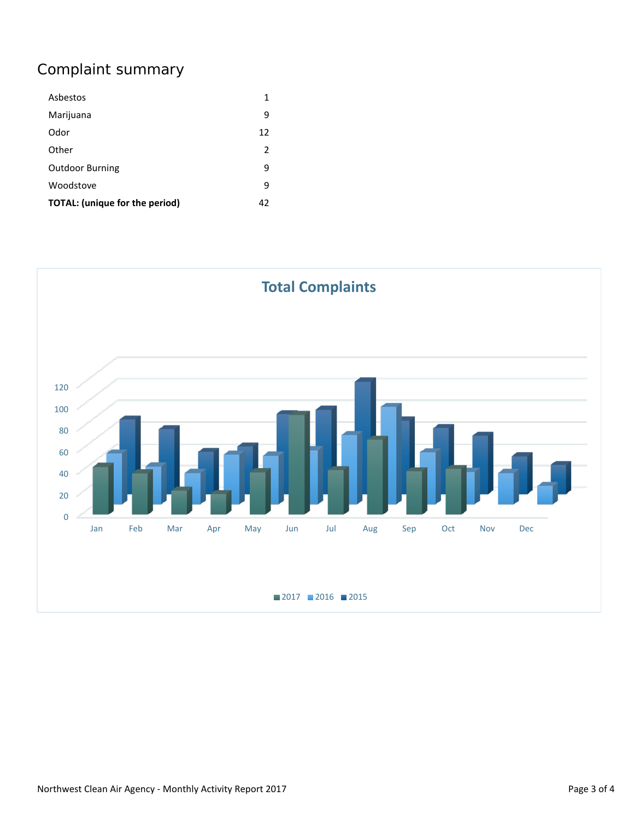# Complaint summary

| Asbestos                              | 1  |
|---------------------------------------|----|
| Marijuana                             | 9  |
| Odor                                  | 12 |
| Other                                 | 2  |
| <b>Outdoor Burning</b>                | 9  |
| Woodstove                             | 9  |
| <b>TOTAL:</b> (unique for the period) | 42 |